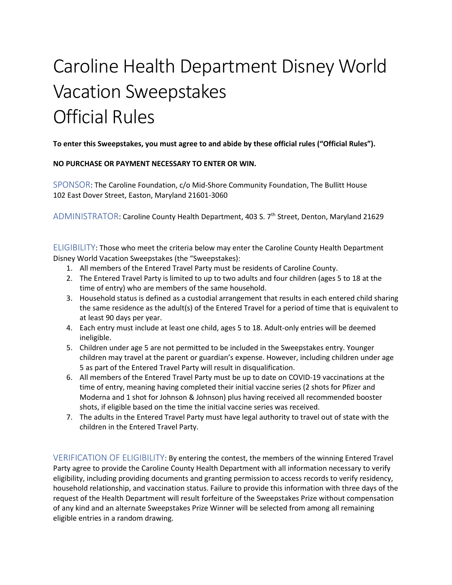## Caroline Health Department Disney World Vacation Sweepstakes Official Rules

**To enter this Sweepstakes, you must agree to and abide by these official rules ("Official Rules").**

## **NO PURCHASE OR PAYMENT NECESSARY TO ENTER OR WIN.**

SPONSOR: The Caroline Foundation, c/o Mid-Shore Community Foundation, The Bullitt House 102 East Dover Street, Easton, Maryland 21601-3060

ADMINISTRATOR: Caroline County Health Department, 403 S. 7<sup>th</sup> Street, Denton, Maryland 21629

ELIGIBILITY: Those who meet the criteria below may enter the Caroline County Health Department Disney World Vacation Sweepstakes (the "Sweepstakes):

- 1. All members of the Entered Travel Party must be residents of Caroline County.
- 2. The Entered Travel Party is limited to up to two adults and four children (ages 5 to 18 at the time of entry) who are members of the same household.
- 3. Household status is defined as a custodial arrangement that results in each entered child sharing the same residence as the adult(s) of the Entered Travel for a period of time that is equivalent to at least 90 days per year.
- 4. Each entry must include at least one child, ages 5 to 18. Adult-only entries will be deemed ineligible.
- 5. Children under age 5 are not permitted to be included in the Sweepstakes entry. Younger children may travel at the parent or guardian's expense. However, including children under age 5 as part of the Entered Travel Party will result in disqualification.
- 6. All members of the Entered Travel Party must be up to date on COVID-19 vaccinations at the time of entry, meaning having completed their initial vaccine series (2 shots for Pfizer and Moderna and 1 shot for Johnson & Johnson) plus having received all recommended booster shots, if eligible based on the time the initial vaccine series was received.
- 7. The adults in the Entered Travel Party must have legal authority to travel out of state with the children in the Entered Travel Party.

VERIFICATION OF ELIGIBILITY: By entering the contest, the members of the winning Entered Travel Party agree to provide the Caroline County Health Department with all information necessary to verify eligibility, including providing documents and granting permission to access records to verify residency, household relationship, and vaccination status. Failure to provide this information with three days of the request of the Health Department will result forfeiture of the Sweepstakes Prize without compensation of any kind and an alternate Sweepstakes Prize Winner will be selected from among all remaining eligible entries in a random drawing.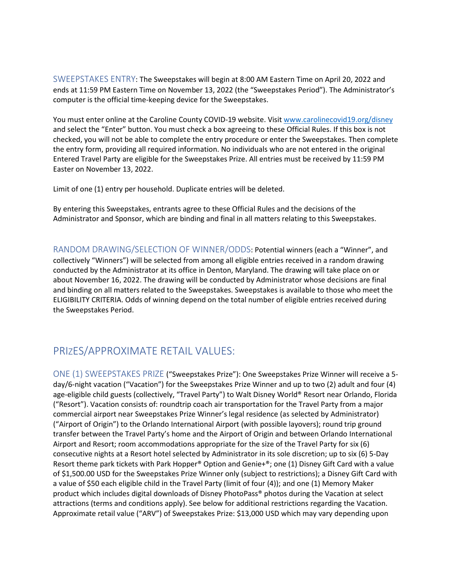SWEEPSTAKES ENTRY: The Sweepstakes will begin at 8:00 AM Eastern Time on April 20, 2022 and ends at 11:59 PM Eastern Time on November 13, 2022 (the "Sweepstakes Period"). The Administrator's computer is the official time-keeping device for the Sweepstakes.

You must enter online at the Caroline County COVID-19 website. Visi[t www.carolinecovid19.org/disney](http://www.carolinecovid19.org/disney)  and select the "Enter" button. You must check a box agreeing to these Official Rules. If this box is not checked, you will not be able to complete the entry procedure or enter the Sweepstakes. Then complete the entry form, providing all required information. No individuals who are not entered in the original Entered Travel Party are eligible for the Sweepstakes Prize. All entries must be received by 11:59 PM Easter on November 13, 2022.

Limit of one (1) entry per household. Duplicate entries will be deleted.

By entering this Sweepstakes, entrants agree to these Official Rules and the decisions of the Administrator and Sponsor, which are binding and final in all matters relating to this Sweepstakes.

RANDOM DRAWING/SELECTION OF WINNER/ODDS: Potential winners (each a "Winner", and collectively "Winners") will be selected from among all eligible entries received in a random drawing conducted by the Administrator at its office in Denton, Maryland. The drawing will take place on or about November 16, 2022. The drawing will be conducted by Administrator whose decisions are final and binding on all matters related to the Sweepstakes. Sweepstakes is available to those who meet the ELIGIBILITY CRITERIA. Odds of winning depend on the total number of eligible entries received during the Sweepstakes Period.

## PRIZES/APPROXIMATE RETAIL VALUES:

ONE (1) SWEEPSTAKES PRIZE ("Sweepstakes Prize"): One Sweepstakes Prize Winner will receive a 5 day/6-night vacation ("Vacation") for the Sweepstakes Prize Winner and up to two (2) adult and four (4) age-eligible child guests (collectively, "Travel Party") to Walt Disney World® Resort near Orlando, Florida ("Resort"). Vacation consists of: roundtrip coach air transportation for the Travel Party from a major commercial airport near Sweepstakes Prize Winner's legal residence (as selected by Administrator) ("Airport of Origin") to the Orlando International Airport (with possible layovers); round trip ground transfer between the Travel Party's home and the Airport of Origin and between Orlando International Airport and Resort; room accommodations appropriate for the size of the Travel Party for six (6) consecutive nights at a Resort hotel selected by Administrator in its sole discretion; up to six (6) 5-Day Resort theme park tickets with Park Hopper® Option and Genie+®; one (1) Disney Gift Card with a value of \$1,500.00 USD for the Sweepstakes Prize Winner only (subject to restrictions); a Disney Gift Card with a value of \$50 each eligible child in the Travel Party (limit of four (4)); and one (1) Memory Maker product which includes digital downloads of Disney PhotoPass® photos during the Vacation at select attractions (terms and conditions apply). See below for additional restrictions regarding the Vacation. Approximate retail value ("ARV") of Sweepstakes Prize: \$13,000 USD which may vary depending upon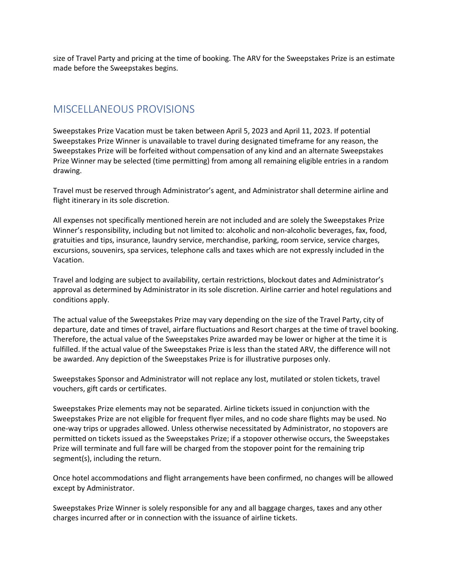size of Travel Party and pricing at the time of booking. The ARV for the Sweepstakes Prize is an estimate made before the Sweepstakes begins.

## MISCELLANEOUS PROVISIONS

Sweepstakes Prize Vacation must be taken between April 5, 2023 and April 11, 2023. If potential Sweepstakes Prize Winner is unavailable to travel during designated timeframe for any reason, the Sweepstakes Prize will be forfeited without compensation of any kind and an alternate Sweepstakes Prize Winner may be selected (time permitting) from among all remaining eligible entries in a random drawing.

Travel must be reserved through Administrator's agent, and Administrator shall determine airline and flight itinerary in its sole discretion.

All expenses not specifically mentioned herein are not included and are solely the Sweepstakes Prize Winner's responsibility, including but not limited to: alcoholic and non-alcoholic beverages, fax, food, gratuities and tips, insurance, laundry service, merchandise, parking, room service, service charges, excursions, souvenirs, spa services, telephone calls and taxes which are not expressly included in the Vacation.

Travel and lodging are subject to availability, certain restrictions, blockout dates and Administrator's approval as determined by Administrator in its sole discretion. Airline carrier and hotel regulations and conditions apply.

The actual value of the Sweepstakes Prize may vary depending on the size of the Travel Party, city of departure, date and times of travel, airfare fluctuations and Resort charges at the time of travel booking. Therefore, the actual value of the Sweepstakes Prize awarded may be lower or higher at the time it is fulfilled. If the actual value of the Sweepstakes Prize is less than the stated ARV, the difference will not be awarded. Any depiction of the Sweepstakes Prize is for illustrative purposes only.

Sweepstakes Sponsor and Administrator will not replace any lost, mutilated or stolen tickets, travel vouchers, gift cards or certificates.

Sweepstakes Prize elements may not be separated. Airline tickets issued in conjunction with the Sweepstakes Prize are not eligible for frequent flyer miles, and no code share flights may be used. No one-way trips or upgrades allowed. Unless otherwise necessitated by Administrator, no stopovers are permitted on tickets issued as the Sweepstakes Prize; if a stopover otherwise occurs, the Sweepstakes Prize will terminate and full fare will be charged from the stopover point for the remaining trip segment(s), including the return.

Once hotel accommodations and flight arrangements have been confirmed, no changes will be allowed except by Administrator.

Sweepstakes Prize Winner is solely responsible for any and all baggage charges, taxes and any other charges incurred after or in connection with the issuance of airline tickets.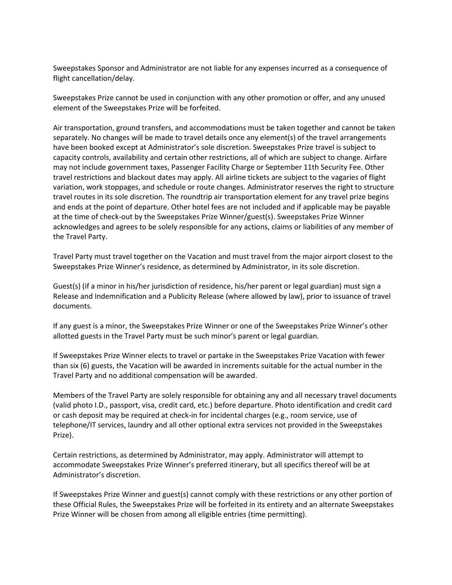Sweepstakes Sponsor and Administrator are not liable for any expenses incurred as a consequence of flight cancellation/delay.

Sweepstakes Prize cannot be used in conjunction with any other promotion or offer, and any unused element of the Sweepstakes Prize will be forfeited.

Air transportation, ground transfers, and accommodations must be taken together and cannot be taken separately. No changes will be made to travel details once any element(s) of the travel arrangements have been booked except at Administrator's sole discretion. Sweepstakes Prize travel is subject to capacity controls, availability and certain other restrictions, all of which are subject to change. Airfare may not include government taxes, Passenger Facility Charge or September 11th Security Fee. Other travel restrictions and blackout dates may apply. All airline tickets are subject to the vagaries of flight variation, work stoppages, and schedule or route changes. Administrator reserves the right to structure travel routes in its sole discretion. The roundtrip air transportation element for any travel prize begins and ends at the point of departure. Other hotel fees are not included and if applicable may be payable at the time of check-out by the Sweepstakes Prize Winner/guest(s). Sweepstakes Prize Winner acknowledges and agrees to be solely responsible for any actions, claims or liabilities of any member of the Travel Party.

Travel Party must travel together on the Vacation and must travel from the major airport closest to the Sweepstakes Prize Winner's residence, as determined by Administrator, in its sole discretion.

Guest(s) (if a minor in his/her jurisdiction of residence, his/her parent or legal guardian) must sign a Release and Indemnification and a Publicity Release (where allowed by law), prior to issuance of travel documents.

If any guest is a minor, the Sweepstakes Prize Winner or one of the Sweepstakes Prize Winner's other allotted guests in the Travel Party must be such minor's parent or legal guardian.

If Sweepstakes Prize Winner elects to travel or partake in the Sweepstakes Prize Vacation with fewer than six (6) guests, the Vacation will be awarded in increments suitable for the actual number in the Travel Party and no additional compensation will be awarded.

Members of the Travel Party are solely responsible for obtaining any and all necessary travel documents (valid photo I.D., passport, visa, credit card, etc.) before departure. Photo identification and credit card or cash deposit may be required at check-in for incidental charges (e.g., room service, use of telephone/IT services, laundry and all other optional extra services not provided in the Sweepstakes Prize).

Certain restrictions, as determined by Administrator, may apply. Administrator will attempt to accommodate Sweepstakes Prize Winner's preferred itinerary, but all specifics thereof will be at Administrator's discretion.

If Sweepstakes Prize Winner and guest(s) cannot comply with these restrictions or any other portion of these Official Rules, the Sweepstakes Prize will be forfeited in its entirety and an alternate Sweepstakes Prize Winner will be chosen from among all eligible entries (time permitting).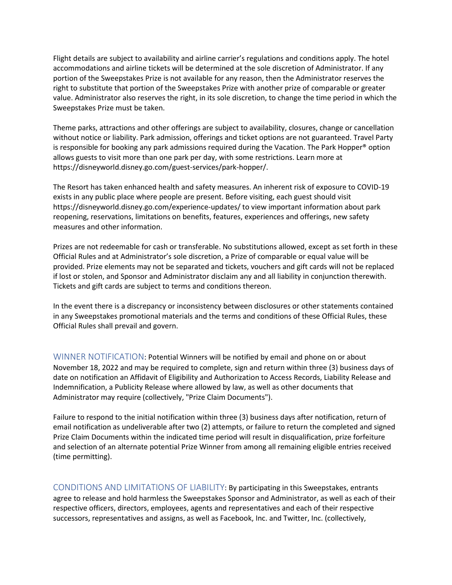Flight details are subject to availability and airline carrier's regulations and conditions apply. The hotel accommodations and airline tickets will be determined at the sole discretion of Administrator. If any portion of the Sweepstakes Prize is not available for any reason, then the Administrator reserves the right to substitute that portion of the Sweepstakes Prize with another prize of comparable or greater value. Administrator also reserves the right, in its sole discretion, to change the time period in which the Sweepstakes Prize must be taken.

Theme parks, attractions and other offerings are subject to availability, closures, change or cancellation without notice or liability. Park admission, offerings and ticket options are not guaranteed. Travel Party is responsible for booking any park admissions required during the Vacation. The Park Hopper® option allows guests to visit more than one park per day, with some restrictions. Learn more at https://disneyworld.disney.go.com/guest-services/park-hopper/.

The Resort has taken enhanced health and safety measures. An inherent risk of exposure to COVID-19 exists in any public place where people are present. Before visiting, each guest should visit https://disneyworld.disney.go.com/experience-updates/ to view important information about park reopening, reservations, limitations on benefits, features, experiences and offerings, new safety measures and other information.

Prizes are not redeemable for cash or transferable. No substitutions allowed, except as set forth in these Official Rules and at Administrator's sole discretion, a Prize of comparable or equal value will be provided. Prize elements may not be separated and tickets, vouchers and gift cards will not be replaced if lost or stolen, and Sponsor and Administrator disclaim any and all liability in conjunction therewith. Tickets and gift cards are subject to terms and conditions thereon.

In the event there is a discrepancy or inconsistency between disclosures or other statements contained in any Sweepstakes promotional materials and the terms and conditions of these Official Rules, these Official Rules shall prevail and govern.

WINNER NOTIFICATION: Potential Winners will be notified by email and phone on or about November 18, 2022 and may be required to complete, sign and return within three (3) business days of date on notification an Affidavit of Eligibility and Authorization to Access Records, Liability Release and Indemnification, a Publicity Release where allowed by law, as well as other documents that Administrator may require (collectively, "Prize Claim Documents").

Failure to respond to the initial notification within three (3) business days after notification, return of email notification as undeliverable after two (2) attempts, or failure to return the completed and signed Prize Claim Documents within the indicated time period will result in disqualification, prize forfeiture and selection of an alternate potential Prize Winner from among all remaining eligible entries received (time permitting).

CONDITIONS AND LIMITATIONS OF LIABILITY: By participating in this Sweepstakes, entrants agree to release and hold harmless the Sweepstakes Sponsor and Administrator, as well as each of their respective officers, directors, employees, agents and representatives and each of their respective successors, representatives and assigns, as well as Facebook, Inc. and Twitter, Inc. (collectively,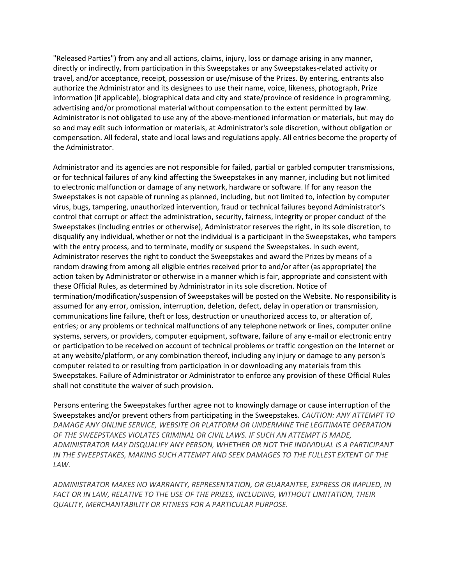"Released Parties") from any and all actions, claims, injury, loss or damage arising in any manner, directly or indirectly, from participation in this Sweepstakes or any Sweepstakes-related activity or travel, and/or acceptance, receipt, possession or use/misuse of the Prizes. By entering, entrants also authorize the Administrator and its designees to use their name, voice, likeness, photograph, Prize information (if applicable), biographical data and city and state/province of residence in programming, advertising and/or promotional material without compensation to the extent permitted by law. Administrator is not obligated to use any of the above-mentioned information or materials, but may do so and may edit such information or materials, at Administrator's sole discretion, without obligation or compensation. All federal, state and local laws and regulations apply. All entries become the property of the Administrator.

Administrator and its agencies are not responsible for failed, partial or garbled computer transmissions, or for technical failures of any kind affecting the Sweepstakes in any manner, including but not limited to electronic malfunction or damage of any network, hardware or software. If for any reason the Sweepstakes is not capable of running as planned, including, but not limited to, infection by computer virus, bugs, tampering, unauthorized intervention, fraud or technical failures beyond Administrator's control that corrupt or affect the administration, security, fairness, integrity or proper conduct of the Sweepstakes (including entries or otherwise), Administrator reserves the right, in its sole discretion, to disqualify any individual, whether or not the individual is a participant in the Sweepstakes, who tampers with the entry process, and to terminate, modify or suspend the Sweepstakes. In such event, Administrator reserves the right to conduct the Sweepstakes and award the Prizes by means of a random drawing from among all eligible entries received prior to and/or after (as appropriate) the action taken by Administrator or otherwise in a manner which is fair, appropriate and consistent with these Official Rules, as determined by Administrator in its sole discretion. Notice of termination/modification/suspension of Sweepstakes will be posted on the Website. No responsibility is assumed for any error, omission, interruption, deletion, defect, delay in operation or transmission, communications line failure, theft or loss, destruction or unauthorized access to, or alteration of, entries; or any problems or technical malfunctions of any telephone network or lines, computer online systems, servers, or providers, computer equipment, software, failure of any e-mail or electronic entry or participation to be received on account of technical problems or traffic congestion on the Internet or at any website/platform, or any combination thereof, including any injury or damage to any person's computer related to or resulting from participation in or downloading any materials from this Sweepstakes. Failure of Administrator or Administrator to enforce any provision of these Official Rules shall not constitute the waiver of such provision.

Persons entering the Sweepstakes further agree not to knowingly damage or cause interruption of the Sweepstakes and/or prevent others from participating in the Sweepstakes. *CAUTION: ANY ATTEMPT TO DAMAGE ANY ONLINE SERVICE, WEBSITE OR PLATFORM OR UNDERMINE THE LEGITIMATE OPERATION OF THE SWEEPSTAKES VIOLATES CRIMINAL OR CIVIL LAWS. IF SUCH AN ATTEMPT IS MADE, ADMINISTRATOR MAY DISQUALIFY ANY PERSON, WHETHER OR NOT THE INDIVIDUAL IS A PARTICIPANT IN THE SWEEPSTAKES, MAKING SUCH ATTEMPT AND SEEK DAMAGES TO THE FULLEST EXTENT OF THE LAW.*

*ADMINISTRATOR MAKES NO WARRANTY, REPRESENTATION, OR GUARANTEE, EXPRESS OR IMPLIED, IN*  FACT OR IN LAW, RELATIVE TO THE USE OF THE PRIZES, INCLUDING, WITHOUT LIMITATION, THEIR *QUALITY, MERCHANTABILITY OR FITNESS FOR A PARTICULAR PURPOSE.*